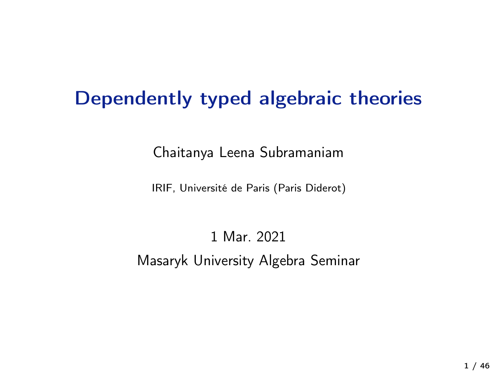# Dependently typed algebraic theories

Chaitanya Leena Subramaniam

IRIF, Université de Paris (Paris Diderot)

## 1 Mar. 2021 Masaryk University Algebra Seminar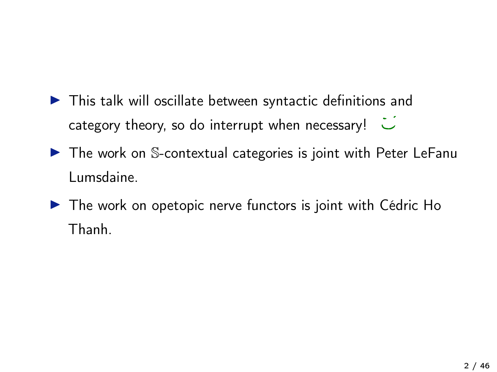- ▶ This talk will oscillate between syntactic definitions and category theory, so do interrupt when necessary!
- ▶ The work on S-contextual categories is joint with Peter LeFanu Lumsdaine.
- ▶ The work on opetopic nerve functors is joint with Cédric Ho Thanh.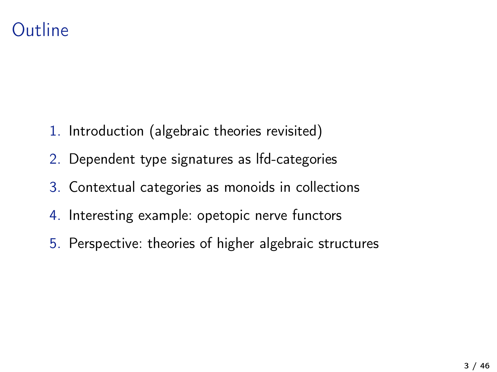## **Outline**

- 1. Introduction (algebraic theories revisited)
- 2. Dependent type signatures as lfd-categories
- 3. Contextual categories as monoids in collections
- 4. Interesting example: opetopic nerve functors
- 5. Perspective: theories of higher algebraic structures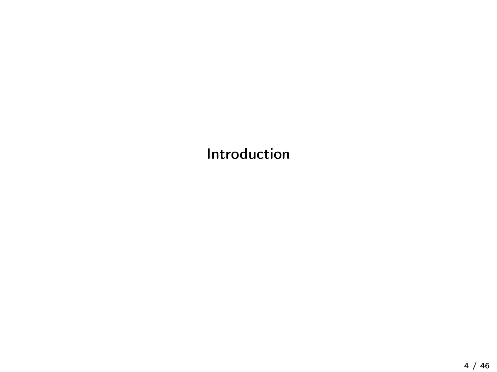Introduction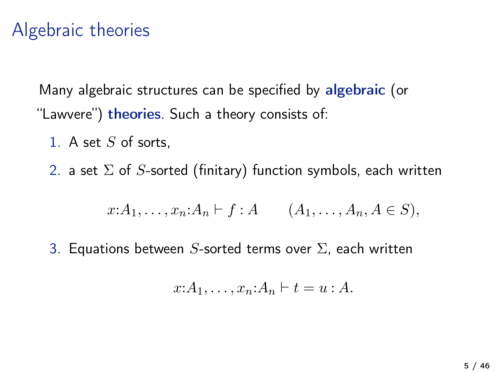## Algebraic theories

Many algebraic structures can be specified by algebraic (or "Lawvere") theories. Such a theory consists of:

1. A set  $S$  of sorts,

2. a set  $\Sigma$  of S-sorted (finitary) function symbols, each written

$$
x: A_1, \ldots, x_n: A_n \vdash f: A \qquad (A_1, \ldots, A_n, A \in S),
$$

3. Equations between S-sorted terms over  $\Sigma$ , each written

$$
x:A_1,\ldots,x_n:A_n\vdash t=u:A.
$$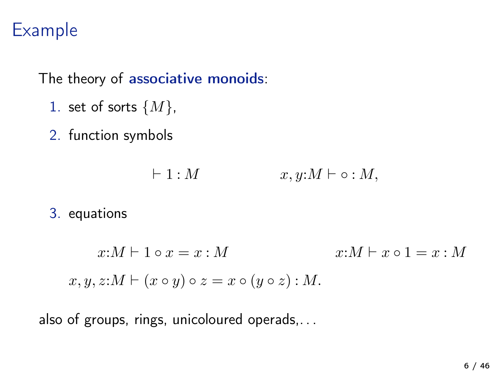# Example

The theory of associative monoids:

- 1. set of sorts  $\{M\},\$
- 2. function symbols

$$
\vdash 1: M \qquad x, y: M \vdash \circ: M,
$$

#### 3. equations

 $x:M \vdash 1 \circ x = x : M$   $x:M \vdash x \circ 1 = x : M$  $x, y, z: M \vdash (x \circ y) \circ z = x \circ (y \circ z) : M.$ 

also of groups, rings, unicoloured operads,. . .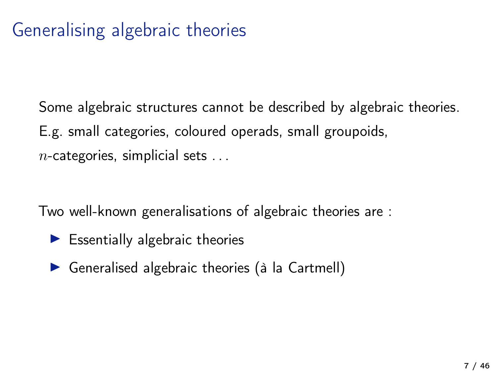# Generalising algebraic theories

Some algebraic structures cannot be described by algebraic theories. E.g. small categories, coloured operads, small groupoids,  $n$ -categories, simplicial sets ...

Two well-known generalisations of algebraic theories are :

- $\blacktriangleright$  Essentially algebraic theories
- � Generalised algebraic theories (à la Cartmell)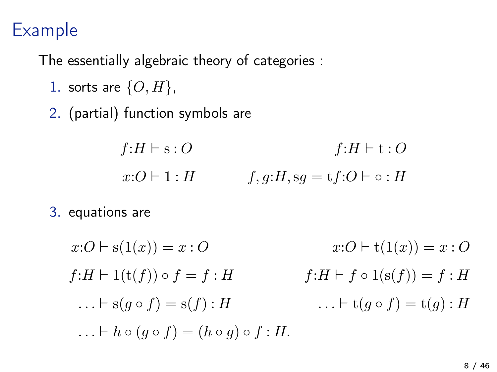## Example

The essentially algebraic theory of categories :

- 1. sorts are  $\{O, H\}$ ,
- 2. (partial) function symbols are

$$
f:H \vdash s: O \qquad f:H \vdash t: O
$$
  

$$
x:O \vdash 1:H \qquad f,g:H, sg = tf:O \vdash \circ : H
$$

3. equations are

$$
x:O \vdash s(1(x)) = x:O
$$
  
\n
$$
f:H \vdash 1(t(f)) \circ f = f:H
$$
  
\n
$$
\dots \vdash s(g \circ f) = s(f):H
$$
  
\n
$$
\dots \vdash h \circ (g \circ f) = (h \circ g) \circ f:H.
$$
  
\n
$$
H \vdash f \circ 1(s(f)) = f:H
$$
  
\n
$$
\dots \vdash t(g \circ f) = t(g):H
$$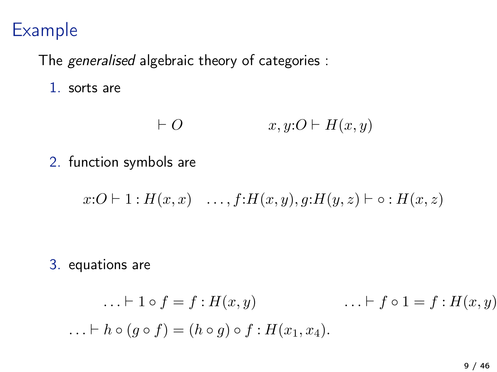## Example

The generalised algebraic theory of categories :

1. sorts are

$$
\vdash O \qquad \qquad x, y:O \vdash H(x,y)
$$

2. function symbols are

 $x:O \vdash 1 : H(x,x) \quad \ldots, f: H(x,y), g: H(y,z) \vdash \circ : H(x,z)$ 

3. equations are

$$
\dots \vdash 1 \circ f = f : H(x, y) \qquad \dots \vdash f \circ 1 = f : H(x, y)
$$
  

$$
\dots \vdash h \circ (g \circ f) = (h \circ g) \circ f : H(x_1, x_4).
$$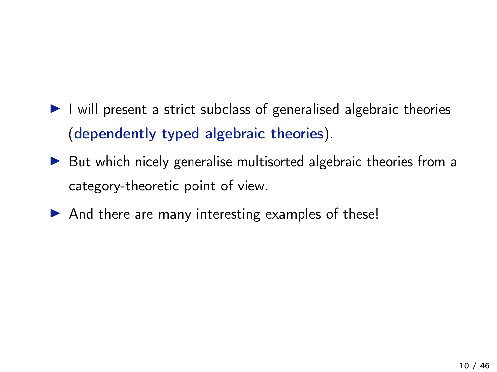- I will present a strict subclass of generalised algebraic theories (dependently typed algebraic theories).
- ▶ But which nicely generalise multisorted algebraic theories from a category-theoretic point of view.
- ▶ And there are many interesting examples of these!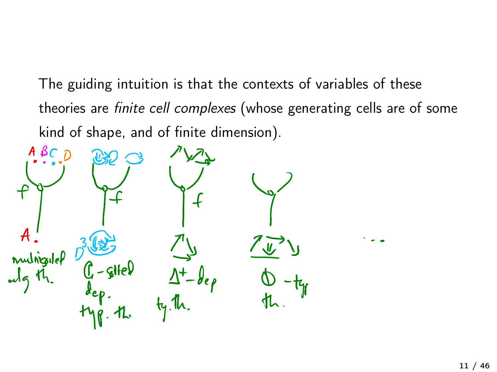The guiding intuition is that the contexts of variables of these theories are finite cell complexes (whose generating cells are of some kind of shape, and of finite dimension).

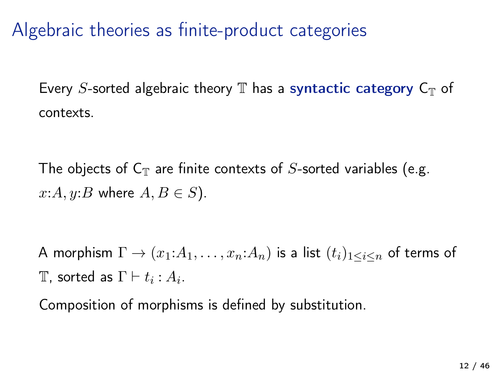Algebraic theories as finite-product categories

Every S-sorted algebraic theory  $\mathbb T$  has a syntactic category  $C_{\mathbb T}$  of contexts.

The objects of  $C_T$  are finite contexts of S-sorted variables (e.g.  $x:A, y:B$  where  $A, B \in S$ ).

A morphism  $\Gamma \to (x_1:A_1,\ldots,x_n:A_n)$  is a list  $(t_i)_{1\leq i\leq n}$  of terms of T, sorted as  $\Gamma \vdash t_i : A_i$ .

Composition of morphisms is defined by substitution.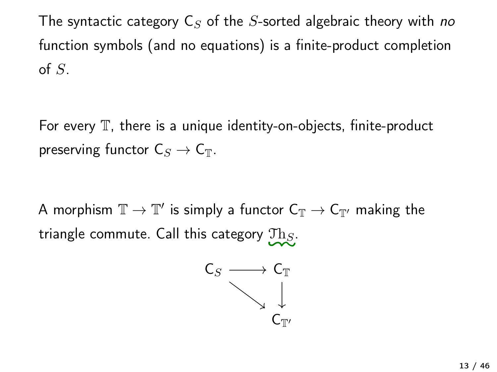The syntactic category  $C_{S}$  of the S-sorted algebraic theory with no function symbols (and no equations) is a finite-product completion of  $S$ .

For every  $\mathbb T$ , there is a unique identity-on-objects, finite-product preserving functor  $C_S \to C_T$ .

A morphism  $\mathbb{T} \to \mathbb{T}'$  is simply a functor  $C_{\mathbb{T}} \to C_{\mathbb{T}'}$  making the triangle commute. Call this category  $\text{Th}_S$ .

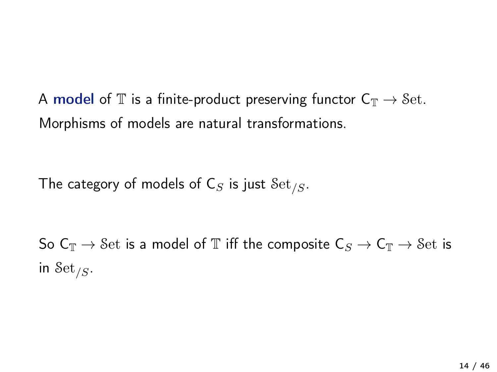A model of T is a finite-product preserving functor  $C_{\mathbb{T}} \to$  Set. Morphisms of models are natural transformations.

The category of models of  $C_S$  is just  $\mathcal{S}\text{et}_{/S}$ .

So  $C_{\mathbb{T}} \to$  Set is a model of  $\mathbb{T}$  iff the composite  $C_S \to C_{\mathbb{T}} \to$  Set is in Set<sub>/S</sub>.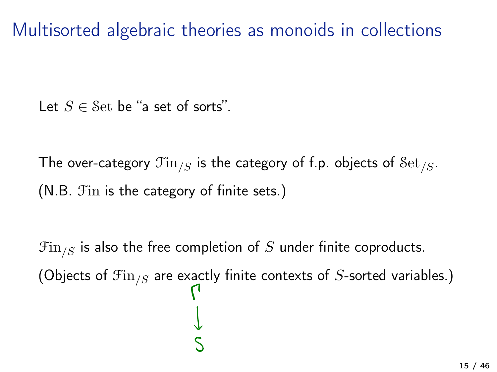Multisorted algebraic theories as monoids in collections

Let  $S \in$  Set be "a set of sorts".

The over-category  $\mathfrak{Fin}_{S}$  is the category of f.p. objects of  $\mathfrak{Set}_{S}$ . (N.B. Fin is the category of finite sets.)

 $\mathfrak{Fin}_{\ell S}$  is also the free completion of S under finite coproducts. (Objects of  $\mathfrak{Fin}_{/S}$  are exactly finite contexts of S-sorted variables.)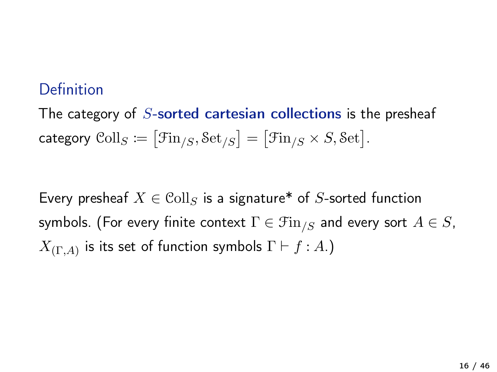#### Definition

The category of  $S$ -sorted cartesian collections is the presheaf category  $\text{Coll}_S \coloneqq \big[ \mathfrak{Fin}_{/S}, \mathfrak{Set}_{/S} \big] = \big[ \mathfrak{Fin}_{/S} \times S, \mathfrak{Set} \big].$ 

Every presheaf  $X \in \text{Coll}_S$  is a signature\* of S-sorted function symbols. (For every finite context  $\Gamma \in \mathfrak{Fin}_{\ell,S}$  and every sort  $A \in S$ ,  $X_{(\Gamma,A)}$  is its set of function symbols  $\Gamma \vdash f : A$ .)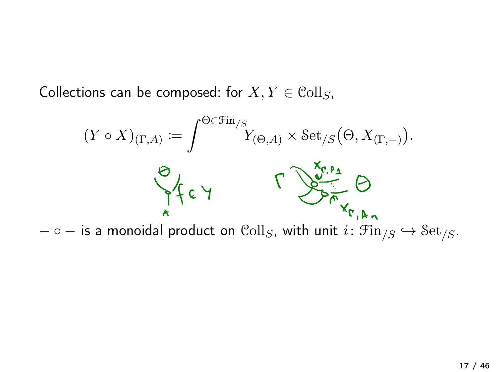Collections can be composed: for  $X, Y \in \text{Coll}_S$ ,

$$
(Y \circ X)_{(\Gamma,A)} := \int^{\Theta \in \mathcal{F}\text{in}_{/S}} Y_{(\Theta,A)} \times \text{Set}_{/S}(\Theta, X_{(\Gamma, -)}).
$$

 $-\circ -$  is a monoidal product on  $\text{Coll}_S$ , with unit  $i: \text{Fin}_{/S} \hookrightarrow \text{Set}_{/S}$ .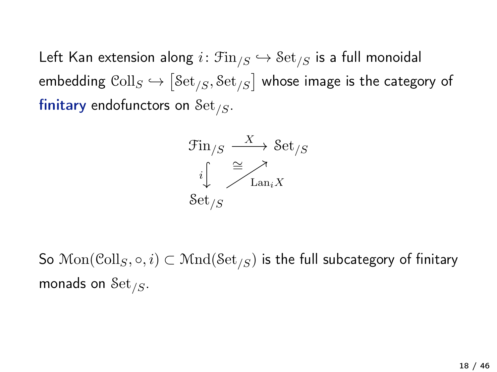Left Kan extension along  $i: \mathcal{F}$ in<sub>/S</sub>  $\hookrightarrow$   $\mathcal{S}$ et<sub>/S</sub> is a full monoidal embedding  $\mathrm{Coll}_S \hookrightarrow \big[ \mathrm{Set}_{/S}, \mathrm{Set}_{/S} \big]$  whose image is the category of finitary endofunctors on  $\mathcal{S}\text{et}_{/S}$ .



So  $\text{Mon}(\text{Coll}_S, \circ, i) \subset \text{Mnd}(\text{Set}_{S})$  is the full subcategory of finitary monads on  $\mathcal{S}\text{et}_{/S}$ .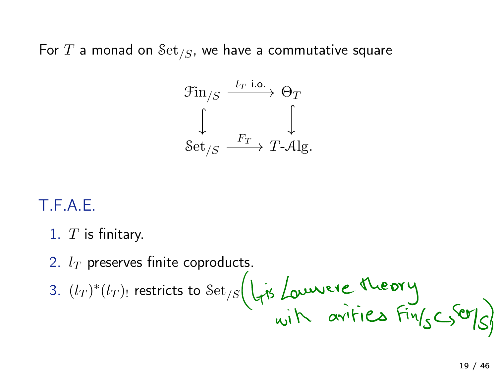For  $T$  a monad on  $\mathcal{S}\text{et}_{/S}$ , we have a commutative square



#### T.F.A.E.

- 1.  $T$  is finitary.
- 2.  $l_T$  preserves finite coproducts.
- 3.  $(l_T)^*(l_T)$  restricts to  $\operatorname{Set}_{/S}\left(\bigcup_{\gamma\in S}l_\gamma\right)$  arrifies  $\operatorname{Fin}_{S}\subset\operatorname{Set}_{S}\left(\bigcup_{\gamma\in S}l_\gamma\right)$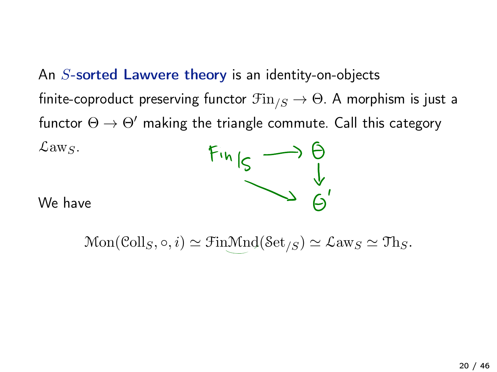An S-sorted Lawvere theory is an identity-on-objects finite-coproduct preserving functor  $\mathfrak{Fin}_{S} \to \Theta$ . A morphism is just a functor  $\Theta \rightarrow \Theta'$  making the triangle commute. Call this category  $\mathcal{L}aw_S$ .



We have

 $Mon(Coll_S, \circ, i) \simeq FinMnd(Set_{/S}) \simeq \mathcal{L}aw_S \simeq Th_S.$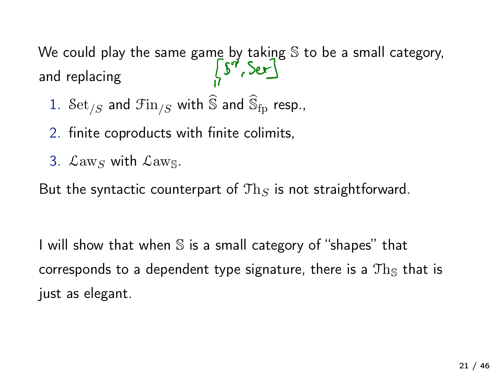We could play the same game by taking S to be a small category,<br>and replacing  $\int_{\cdot}^{S} S^7$ ,  $Ser$ and replacing

- 1.  $\mathcal{S}\text{et}_{/S}$  and  $\mathcal{F}\text{in}_{/S}$  with  $\widehat{\mathbb{S}}$  and  $\widehat{\mathbb{S}}_{\text{fp}}$  resp.,
- 2. finite coproducts with finite colimits,
- 3.  $\mathcal{L}aw_S$  with  $\mathcal{L}aw_S$ .

But the syntactic counterpart of  $\text{Th}_S$  is not straightforward.

I will show that when S is a small category of "shapes" that corresponds to a dependent type signature, there is a  $Th_s$  that is just as elegant.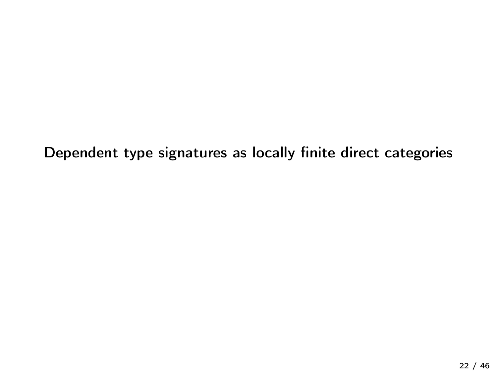Dependent type signatures as locally finite direct categories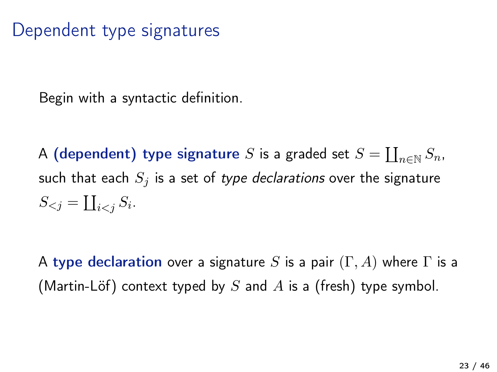# Dependent type signatures

Begin with a syntactic definition.

A (dependent) type signature  $S$  is a graded set  $S = \coprod_{n \in \mathbb{N}} S_n$ , such that each  $S_i$  is a set of type declarations over the signature  $S_{\leq j} = \coprod_{i \leq j} S_i.$ 

A type declaration over a signature S is a pair  $(\Gamma, A)$  where  $\Gamma$  is a (Martin-Löf) context typed by S and A is a (fresh) type symbol.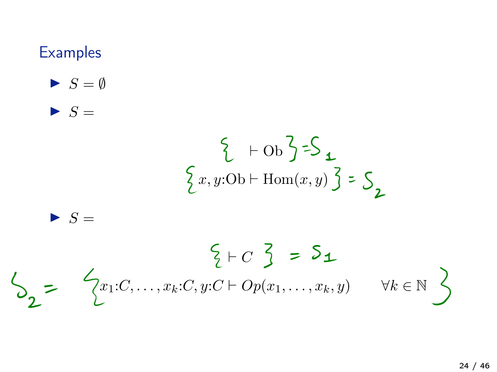## **Examples**

- $\blacktriangleright$   $S = \emptyset$
- $\blacktriangleright$   $S =$

$$
\begin{cases} +Ob \zeta \leq \zeta \\ x, y:Ob + \text{Hom}(x, y) \zeta \leq \zeta \end{cases}
$$

$$
\blacktriangleright
$$
  $S =$ 

$$
\begin{cases}\n\xi \vdash C \ \xi \Rightarrow \ \mathbf{S_1} \\
\mathbf{Z} \vdash C \ \mathbf{S_2} \\
\mathbf{Z}\n\end{cases}
$$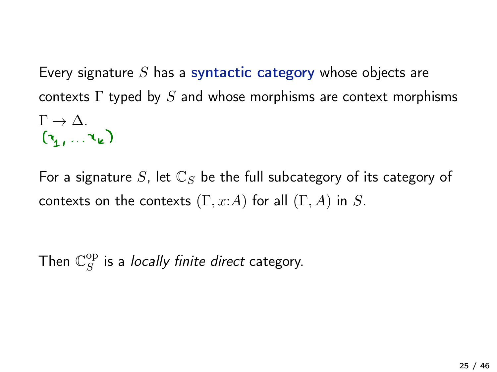Every signature S has a syntactic category whose objects are contexts  $\Gamma$  typed by  $S$  and whose morphisms are context morphisms  $\Gamma \rightarrow \Delta$ .<br> $(\gamma_1, \ldots, \gamma_k)$ 

For a signature S, let  $\mathbb{C}_S$  be the full subcategory of its category of contexts on the contexts  $(\Gamma, x:A)$  for all  $(\Gamma, A)$  in S.

Then  $\mathbb{C}^{\mathrm{op}}_S$  is a *locally finite direct* category.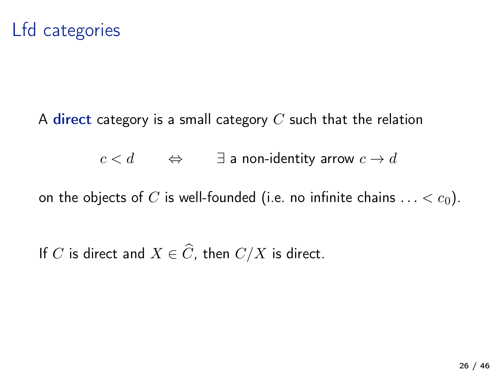## Lfd categories

A direct category is a small category  $C$  such that the relation

 $c < d$   $\Leftrightarrow$   $\exists$  a non-identity arrow  $c \rightarrow d$ 

on the objects of C is well-founded (i.e. no infinite chains  $\dots < c_0$ ).

If C is direct and  $X \in \widehat{C}$ , then  $C/X$  is direct.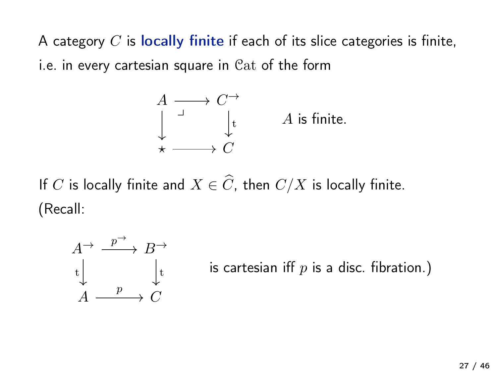A category  $C$  is locally finite if each of its slice categories is finite, i.e. in every cartesian square in Cat of the form

$$
\begin{array}{ccc}\nA & \longrightarrow & C \rightarrow \\
\downarrow & & \downarrow \\
\star & \longrightarrow & C\n\end{array}\n\qquad\nA \text{ is finite.}
$$

If C is locally finite and  $X \in \widehat{C}$ , then  $C/X$  is locally finite. (Recall:

$$
A \xrightarrow{p \to} B \xrightarrow{+}
$$
  
\n
$$
t \downarrow \qquad \qquad \downarrow t
$$
  
\n
$$
A \xrightarrow{p} C
$$

is cartesian iff  $p$  is a disc. fibration.)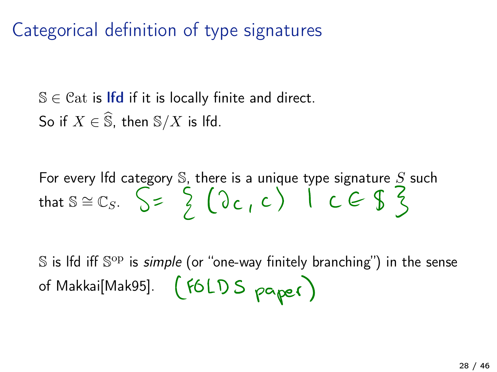# Categorical definition of type signatures

 $\mathbb{S} \in \mathcal{C}$ at is Ifd if it is locally finite and direct. So if  $X \in \widehat{S}$ , then  $S/X$  is lfd.

For every lfd category S, there is a unique type signature S such that  $s \cong c_s$ .  $\left\{ \begin{array}{c} 2 \ 1 \end{array} \right\}$  ( $\left\{ 0 \ c, c \right\}$ )  $c \in \{ \begin{array}{c} 2 \ 3 \end{array} \right\}$ 

 $\mathbb S$  is lfd iff  $\mathbb S^{op}$  is *simple* (or "one-way finitely branching") in the sense of Makkai[Mak95]. (FOLDS paper)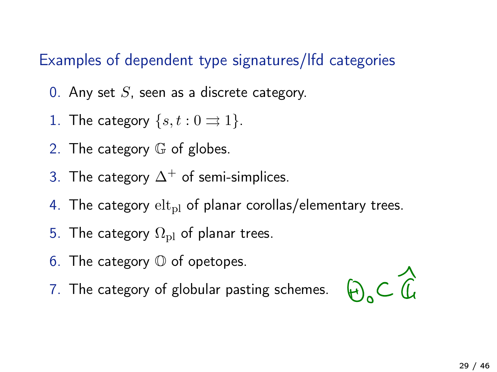#### Examples of dependent type signatures/lfd categories

- 0. Any set  $S$ , seen as a discrete category.
- 1. The category  $\{s, t : 0 \implies 1\}$ .
- 2. The category G of globes.
- 3. The category  $\Delta^+$  of semi-simplices.
- 4. The category  $\mathrm{elt}_{\mathrm{pl}}$  of planar corollas/elementary trees.
- 5. The category  $\Omega_{\rm pl}$  of planar trees.
- 6. The category  $\mathbb O$  of opetopes.
- 7. The category of globular pasting schemes.

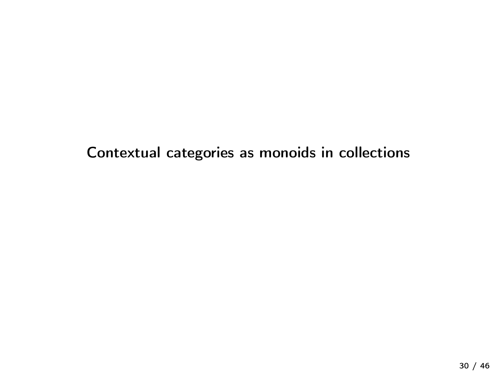Contextual categories as monoids in collections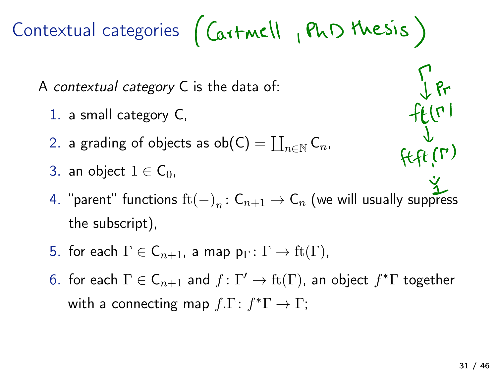Contextual categories (Cartmell, PhD thesis)

A contextual category C is the data of:

- 1. a small category C,
- 2. a grading of objects as  $ob(C) = \coprod_{n \in \mathbb{N}} C_n$ ,
- 3. an object  $1 \in C_0$ ,
- $fff(f')$ 4. "parent" functions  $\mathrm{ft}(-)_{n} : C_{n+1} \to C_{n}$  (we will usually suppress the subscript),
- 5. for each  $\Gamma \in \mathsf{C}_{n+1}$ , a map  $p_{\Gamma} \colon \Gamma \to \mathrm{ft}(\Gamma)$ ,
- 6. for each  $\Gamma \in \mathsf{C}_{n+1}$  and  $f : \Gamma' \to \mathrm{ft}(\Gamma)$ , an object  $f^* \Gamma$  together with a connecting map  $f.\Gamma: f^*\Gamma \to \Gamma$ ;

 $\int$   $\mathsf{R}$ 

 $f(t^{\prime})$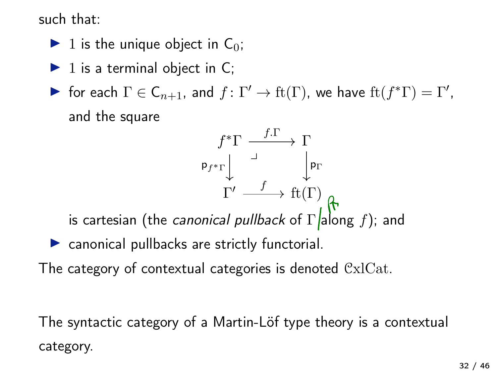such that:

- $\blacktriangleright$  1 is the unique object in C<sub>0</sub>;
- $\blacktriangleright$  1 is a terminal object in C;
- $\blacktriangleright$  for each  $\Gamma \in \mathsf{C}_{n+1}$ , and  $f \colon \Gamma' \to \mathrm{ft}(\Gamma)$ , we have  $\mathrm{ft}(f^*\Gamma) = \Gamma'$ , and the square



is cartesian (the *canonical pullback* of  $\Gamma$  <mark>/</mark>along  $f$ ); and

- ▶ canonical pullbacks are strictly functorial.
- The category of contextual categories is denoted CxlCat.

The syntactic category of a Martin-Löf type theory is a contextual category.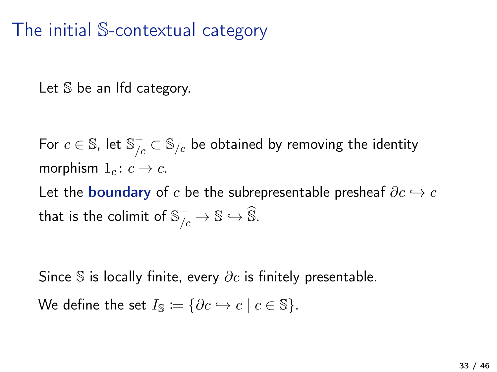# The initial S-contextual category

Let S be an lfd category.

For  $c\in \mathbb{S}$ , let  $\mathbb{S}_{/c}^{-}\subset \mathbb{S}_{/c}$  be obtained by removing the identity morphism  $1_c : c \rightarrow c$ .

Let the boundary of c be the subrepresentable presheaf  $\partial c \hookrightarrow c$ that is the colimit of  $\mathbb{S}_{/c}^- \rightarrow \mathbb{S} \hookrightarrow \mathbb{S}.$ 

Since S is locally finite, every  $\partial c$  is finitely presentable. We define the set  $I_{\mathbb{S}} := \{ \partial c \hookrightarrow c \mid c \in \mathbb{S} \}.$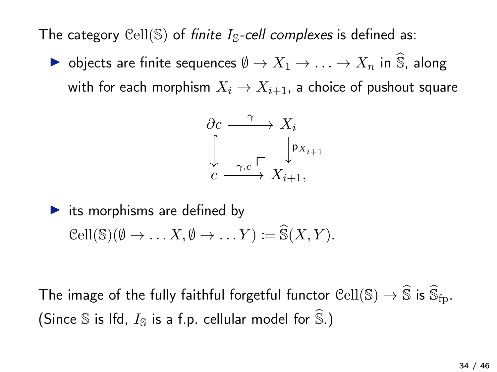The category Cell(S) of finite  $I<sub>S</sub>$ -cell complexes is defined as:

▶ objects are finite sequences  $\emptyset \to X_1 \to \ldots \to X_n$  in  $\widehat{S}$ , along with for each morphism  $X_i \to X_{i+1}$ , a choice of pushout square

∂c X<sup>i</sup> c Xi+1, γ pXi+1 γ.c �

 $\blacktriangleright$  its morphisms are defined by  $\mathcal{C}ell(\mathbb{S})(\emptyset \to \dots X, \emptyset \to \dots Y) \coloneqq \widehat{\mathcal{S}}(X, Y).$ 

The image of the fully faithful forgetful functor  $\mathop{\rm Cell}\nolimits(\mathbb{S})\to\widehat{\mathbb{S}}$  is  $\widehat{\mathbb{S}}_{\text{fn}}.$ (Since  $\mathbb S$  is lfd,  $I_{\mathbb S}$  is a f.p. cellular model for  $\widehat{\mathbb S}$ .)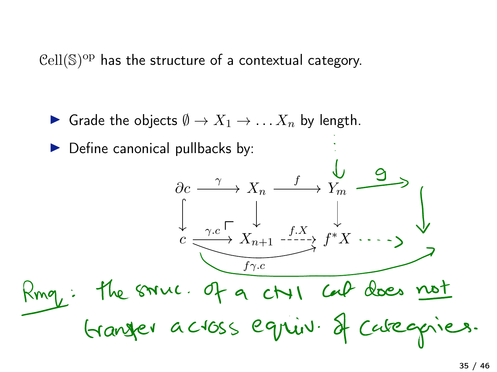$Cell(S)^{op}$  has the structure of a contextual category.

▶ Grade the objects  $\emptyset \to X_1 \to \ldots X_n$  by length.

 $\partial c \longrightarrow X_n \longrightarrow Y_m$ 

 $\gamma$  v f

 $c \xrightarrow{f \cdot c} X_{n+1} \xrightarrow{f \cdot x} f^*X$ 

the smuc. of a ctri car does not<br>Granger across equiv. Il categories.

 $\xrightarrow{\gamma.c} X_{n+1}^* \xrightarrow{f.X}$ 

 $f\gamma.c$ 

▶ Define canonical pullbacks by: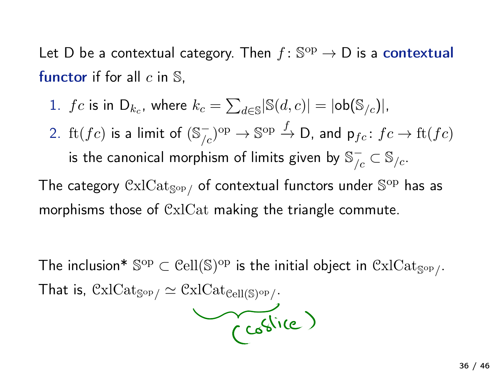Let D be a contextual category. Then  $f: \mathbb{S}^{\text{op}} \to D$  is a contextual functor if for all  $c$  in  $\mathbb{S}$ ,

- 1.  $fc$  is in  $D_{k_c}$ , where  $k_c = \sum_{d \in \mathbb{S}} |\mathbb{S}(d, c)| = |\mathsf{ob}(\mathbb{S}_{/c})|$ ,
- 2.  $\mathrm{ft}(fc)$  is a limit of  $(\mathbb{S}_{/c}^-)^{\mathrm{op}} \to \mathbb{S}^{\mathrm{op}} \xrightarrow{f} \mathsf{D}$ , and  $\mathsf{p}_{fc}\colon fc\to \mathrm{ft}(fc)$ is the canonical morphism of limits given by  $\mathbb{S}_{/c}^- \subset \mathbb{S}_{/c}.$

The category  $\operatorname{\mathsf{CxlCat}_{\operatorname{\mathsf{Sop}}}}$  of contextual functors under  $\mathbb{S}^{\operatorname{op}}$  has as morphisms those of CxlCat making the triangle commute.

The inclusion\*  $\mathbb{S}^{op} \subset \text{Cell}(\mathbb{S})^{op}$  is the initial object in  $\text{CxlCat}_{\mathbb{S}^{op}}$ . That is,  $\text{CxlCat}_{\text{Sop}} \simeq \text{CxlCat}_{\text{Cell}(\text{S)op}}$ .

$$
\sqrt{c^{66}}
$$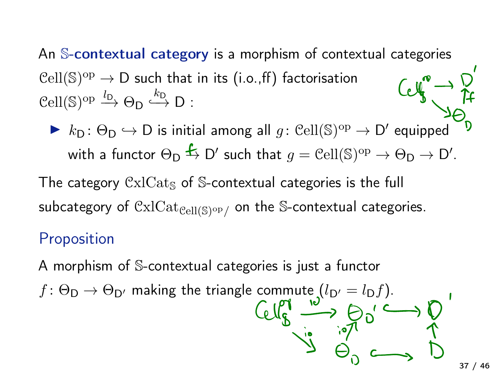An S-contextual category is a morphism of contextual categories  $Cell(S)^{op} \rightarrow D$  such that in its (i.o., ff) factorisation  $\text{Cell}(\mathbb{S})^{\text{op}} \xrightarrow{l_{\mathsf{D}}} \Theta_{\mathsf{D}} \xrightarrow{k_{\mathsf{D}}} \mathsf{D}$ :

 $\triangleright$   $k_D : \Theta_D \hookrightarrow D$  is initial among all  $g : \operatorname{Cell}(\mathbb{S})^{\mathrm{op}} \to D'$  equipped with a functor  $\Theta_{D} \xrightarrow{f} D'$  such that  $g = \operatorname{Cell}(\mathbb{S})^{\mathrm{op}} \to \Theta_{D} \to D'.$ 

The category  $\text{CxICat}_\text{s}$  of S-contextual categories is the full subcategory of  $\operatorname{CxlCat}_{\operatorname{Cell}(\mathbb S)^{\operatorname{op}}/}$  on the S-contextual categories.

#### Proposition

A morphism of S-contextual categories is just a functor

 $f: \Theta_{\mathsf{D}} \to \Theta_{\mathsf{D}'}$  making the triangle commute  $(l_{\mathsf{D}'} = l_{\mathsf{D}}f)$ .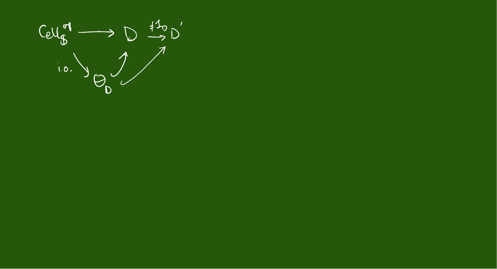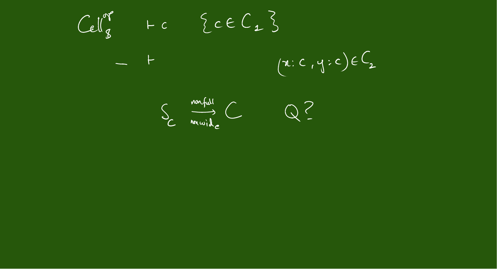$Cell_{8}^{\sigma}$  + c {  $ceC_{1}$ }  $(x; c, y; c)$  $-$  +

S montale

 $Q$ ?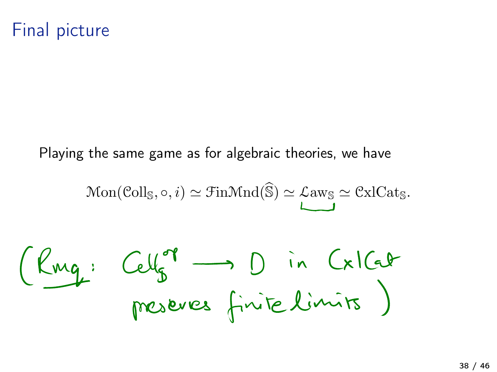## Final picture

Playing the same game as for algebraic theories, we have

$$
\mathrm{Mon}(\mathrm{Coll}_\mathbb{S}, \circ, i) \simeq \mathrm{Fin}\mathrm{Mnd}(\widehat{\mathbb{S}}) \simeq \mathrm{Law}_\mathbb{S} \simeq \mathrm{CxlCat}_\mathbb{S}.
$$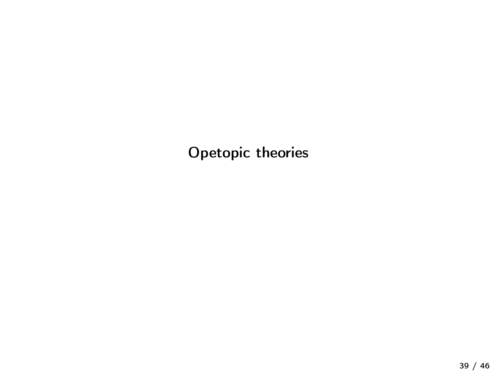Opetopic theories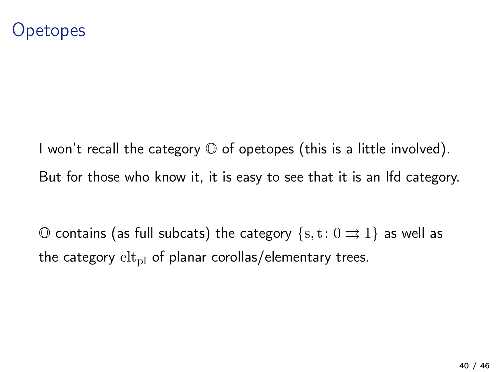I won't recall the category  $\mathbb O$  of opetopes (this is a little involved). But for those who know it, it is easy to see that it is an lfd category.

 $\circ$  contains (as full subcats) the category {s, t: 0  $\Rightarrow$  1} as well as the category  $\mathrm{elt}_{\mathrm{pl}}$  of planar corollas/elementary trees.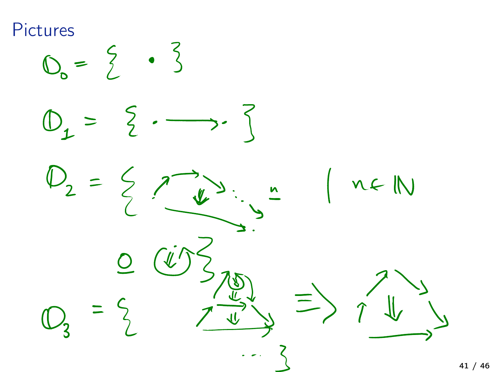Pictures<br>  $O_0 = \begin{matrix} 2 & 3 \\ 1 & 3 \end{matrix}$  $\mathbb{O}_{1}$  $\bigcap$  $\rightarrow$  $\geq$  $1 - 1$  $=$   $\frac{1}{2}$ n f IN  $\frac{M}{L}$  $\overline{O}$  $\equiv$  $\equiv$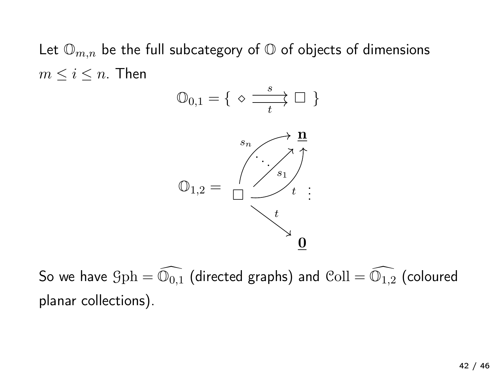Let  $\mathbb{O}_{m,n}$  be the full subcategory of  $\mathbb{O}$  of objects of dimensions  $m \leq i \leq n$ . Then



So we have  $\text{\rm Gph}=\mathbb{O}_{0,1}$  (directed graphs) and  $\text{\rm Coll}=\mathbb{O}_{1,2}$  (coloured planar collections).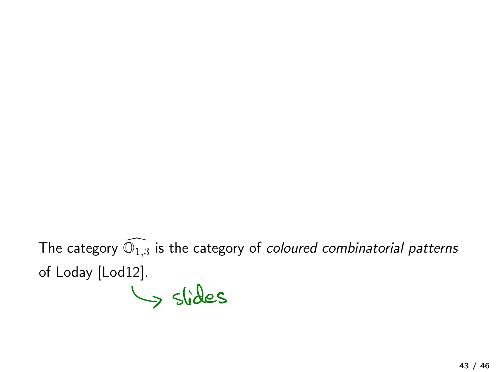The category  $\mathbb{O}_{1,3}$  is the category of *coloured combinatorial patterns* of Loday [Lod12].

Slides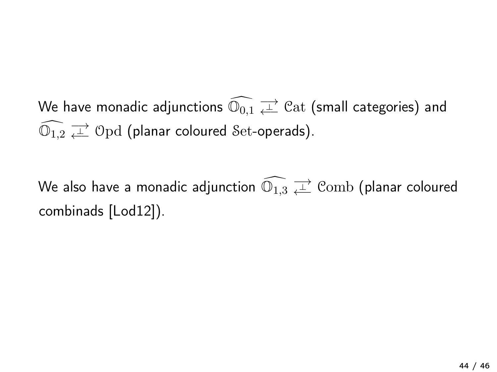We have monadic adjunctions  $\mathbb{O}_{0,1} \rightleftarrows^\mathbb{L} \mathbb{C}{\rm at}$  (small categories) and  $\mathbb{O}_{1,2} \rightleftarrows \mathbb{O}\text{pd}$  (planar coloured Set-operads).

We also have a monadic adjunction  $\mathbb{O}_{1,3} \,\overrightarrow{\downarrow\!\!\!\perp}$   $\mathbb{C}{\rm omb}$  (planar coloured combinads [Lod12]).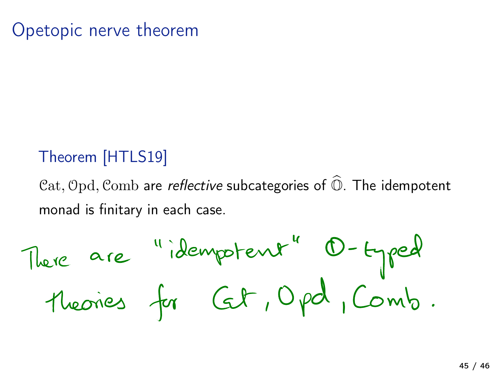## Opetopic nerve theorem

#### Theorem [HTLS19]

 $Cat$ , Opd, Comb are *reflective* subcategories of  $\widehat{\mathbb{O}}$ . The idempotent monad is finitary in each case.

There are "idempotent" O-typed<br>Theories for Cet, Opd, Comb.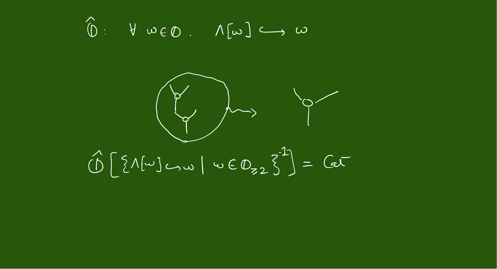$\widehat{\mathbb{O}}: \quad \forall \quad \omega \in \mathbb{O} \quad \land \quad \sqrt{[\omega]} \iff \omega$ 

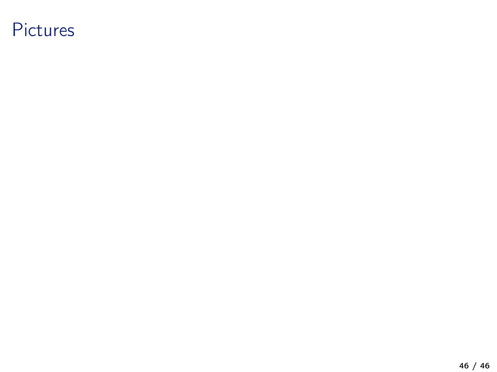## Pictures